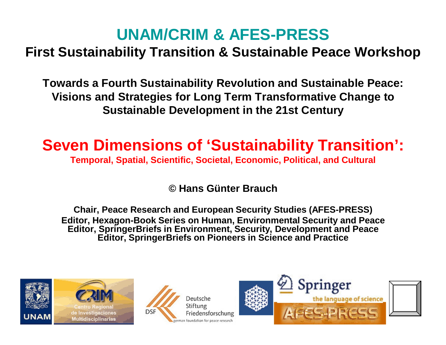#### **UNAM/CRIM & AFES-PRESS**

#### **First Sustainability Transition & Sustainable Peace Workshop**

**Towards a Fourth Sustainability Revolution and Sustainable Peace: Visions and Strategies for Long Term Transformative Change to Sustainable Development in the 21st Century**

#### **Seven Dimensions of 'Sustainability Transition':**

**Temporal, Spatial, Scientific, Societal, Economic, Political, and Cultural**

**© Hans Günter Brauch**

**Chair, Peace Research and European Security Studies (AFES-PRESS) Editor, Hexagon-Book Series on Human, Environmental Security and Peace Editor, SpringerBriefs in Environment, Security, Development and Peace Editor, SpringerBriefs on Pioneers in Science and Practice**







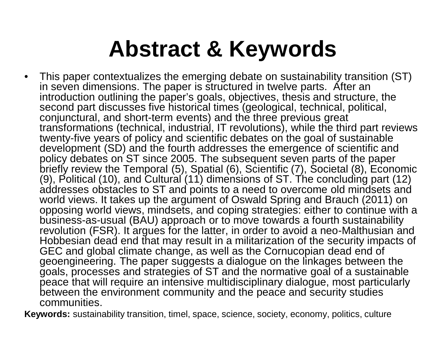### **Abstract & Keywords**

• This paper contextualizes the emerging debate on sustainability transition (ST) in seven dimensions. The paper is structured in twelve parts. After an introduction outlining the paper's goals, objectives, thesis and structure, the second part discusses five historical times (geological, technical, political, conjunctural, and short-term events) and the three previous great transformations (technical, industrial, IT revolutions), while the third part reviews twenty-five years of policy and scientific debates on the goal of sustainable development (SD) and the fourth addresses the emergence of scientific and policy debates on ST since 2005. The subsequent seven parts of the paper briefly review the Temporal (5), Spatial (6), Scientific (7), Societal (8), Economic (9), Political (10), and Cultural (11) dimensions of ST. The concluding part (12) addresses obstacles to ST and points to a need to overcome old mindsets and world views. It takes up the argument of Oswald Spring and Brauch (2011) on opposing world views, mindsets, and coping strategies: either to continue with a business-as-usual (BAU) approach or to move towards a fourth sustainability revolution (FSR). It argues for the latter, in order to avoid a neo-Malthusian and Hobbesian dead end that may result in a militarization of the security impacts of GEC and global climate change, as well as the Cornucopian dead end of geoengineering. The paper suggests a dialogue on the linkages between the goals, processes and strategies of ST and the normative goal of a sustainable peace that will require an intensive multidisciplinary dialogue, most particularly between the environment community and the peace and security studies communities.

**Keywords:** sustainability transition, timel, space, science, society, economy, politics, culture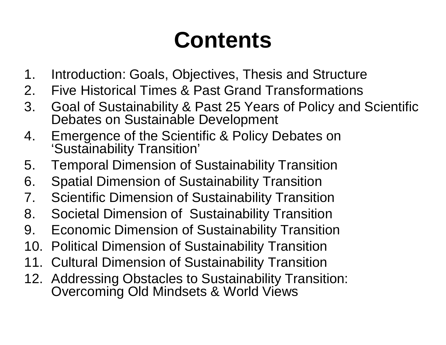### **Contents**

- 1. Introduction: Goals, Objectives, Thesis and Structure
- 2. Five Historical Times & Past Grand Transformations
- 3. Goal of Sustainability & Past 25 Years of Policy and Scientific Debates on Sustainable Development
- 4. Emergence of the Scientific & Policy Debates on 'Sustainability Transition'
- 5. Temporal Dimension of Sustainability Transition
- 6. Spatial Dimension of Sustainability Transition
- 7. Scientific Dimension of Sustainability Transition
- 8. Societal Dimension of Sustainability Transition
- 9. Economic Dimension of Sustainability Transition
- 10. Political Dimension of Sustainability Transition
- 11. Cultural Dimension of Sustainability Transition
- 12. Addressing Obstacles to Sustainability Transition: Overcoming Old Mindsets & World Views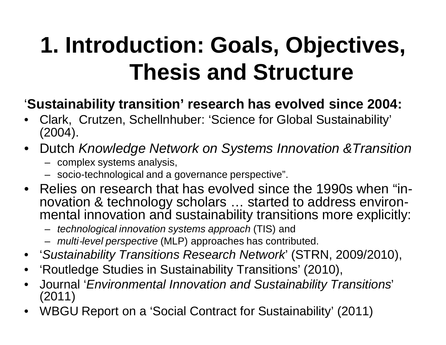## **1. Introduction: Goals, Objectives, Thesis and Structure**

#### '**Sustainability transition' research has evolved since 2004:**

- Clark, Crutzen, Schellnhuber: 'Science for Global Sustainability' (2004).
- Dutch *Knowledge Network on Systems Innovation &Transition*
	- complex systems analysis,
	- socio-technological and a governance perspective".
- Relies on research that has evolved since the 1990s when "innovation & technology scholars … started to address environmental innovation and sustainability transitions more explicitly:
	- *technological innovation systems approach* (TIS) and
	- *multi‐level perspective* (MLP) approaches has contributed.
- '*Sustainability Transitions Research Network*' (STRN, 2009/2010),
- 'Routledge Studies in Sustainability Transitions' (2010),
- Journal '*Environmental Innovation and Sustainability Transitions*' (2011)
- WBGU Report on a 'Social Contract for Sustainability' (2011)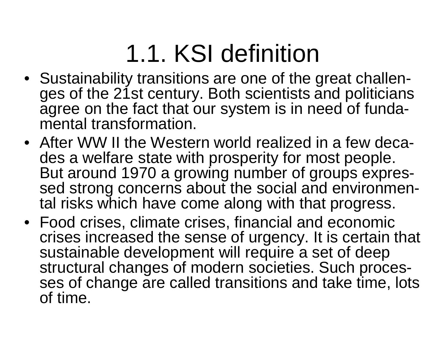# 1.1. KSI definition

- Sustainability transitions are one of the great challenges of the 21st century. Both scientists and politicians agree on the fact that our system is in need of fundamental transformation.
- After WW II the Western world realized in a few decades a welfare state with prosperity for most people. But around 1970 a growing number of groups expressed strong concerns about the social and environmental risks which have come along with that progress.
- Food crises, climate crises, financial and economic crises increased the sense of urgency. It is certain that sustainable development will require a set of deep structural changes of modern societies. Such processes of change are called transitions and take time, lots of time.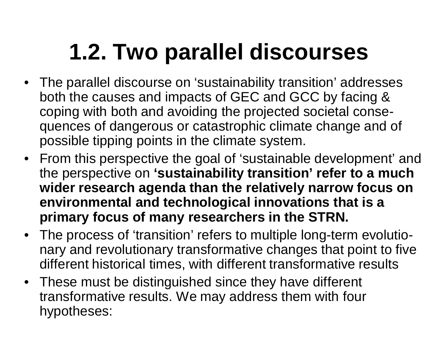# **1.2. Two parallel discourses**

- The parallel discourse on 'sustainability transition' addresses both the causes and impacts of GEC and GCC by facing & coping with both and avoiding the projected societal consequences of dangerous or catastrophic climate change and of possible tipping points in the climate system.
- From this perspective the goal of 'sustainable development' and the perspective on **'sustainability transition' refer to a much wider research agenda than the relatively narrow focus on environmental and technological innovations that is a primary focus of many researchers in the STRN.**
- The process of 'transition' refers to multiple long-term evolutionary and revolutionary transformative changes that point to five different historical times, with different transformative results
- These must be distinguished since they have different transformative results. We may address them with four hypotheses: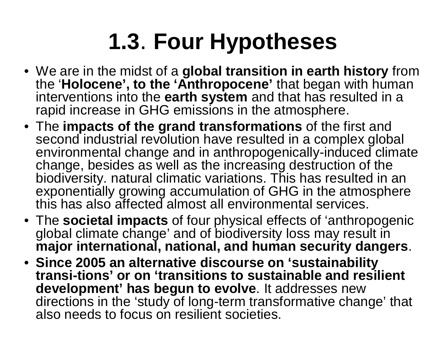# **1.3**. **Four Hypotheses**

- We are in the midst of a **global transition in earth history** from the '**Holocene', to the 'Anthropocene'** that began with human interventions into the **earth system** and that has resulted in a rapid increase in GHG emissions in the atmosphere.
- The **impacts of the grand transformations** of the first and second industrial revolution have resulted in a complex global environmental change and in anthropogenically-induced climate change, besides as well as the increasing destruction of the biodiversity. natural climatic variations. This has resulted in an exponentially growing accumulation of GHG in the atmosphere this has also affected almost all environmental services.
- The **societal impacts** of four physical effects of 'anthropogenic global climate change' and of biodiversity loss may result in **major international, national, and human security dangers**.
- **Since 2005 an alternative discourse on 'sustainability transi-tions' or on 'transitions to sustainable and resilient development' has begun to evolve**. It addresses new directions in the 'study of long-term transformative change' that also needs to focus on resilient societies.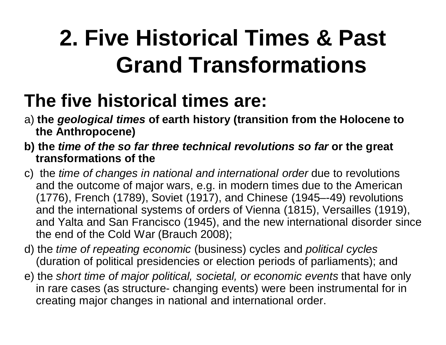## **2. Five Historical Times & Past Grand Transformations**

#### **The five historical times are:**

- a) **the** *geological times* **of earth history (transition from the Holocene to the Anthropocene)**
- **b) the** *time of the so far three technical revolutions so far* **or the great transformations of the**
- c) the *time of changes in national and international order* due to revolutions and the outcome of major wars, e.g. in modern times due to the American (1776), French (1789), Soviet (1917), and Chinese (1945–-49) revolutions and the international systems of orders of Vienna (1815), Versailles (1919), and Yalta and San Francisco (1945), and the new international disorder since the end of the Cold War (Brauch 2008);
- d) the *time of repeating economic* (business) cycles and *political cycles*  (duration of political presidencies or election periods of parliaments); and
- e) the *short time of major political, societal, or economic events* that have only in rare cases (as structure- changing events) were been instrumental for in creating major changes in national and international order.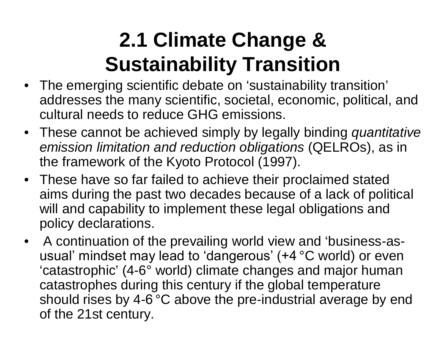#### **2.1 Climate Change & Sustainability Transition**

- The emerging scientific debate on 'sustainability transition' addresses the many scientific, societal, economic, political, and cultural needs to reduce GHG emissions.
- These cannot be achieved simply by legally binding *quantitative emission limitation and reduction obligations* (QELROs), as in the framework of the Kyoto Protocol (1997).
- These have so far failed to achieve their proclaimed stated aims during the past two decades because of a lack of political will and capability to implement these legal obligations and policy declarations.
- A continuation of the prevailing world view and 'business-asusual' mindset may lead to 'dangerous' (+4 °C world) or even 'catastrophic' (4-6° world) climate changes and major human catastrophes during this century if the global temperature should rises by 4-6<sup>°</sup>C above the pre-industrial average by end of the 21st century.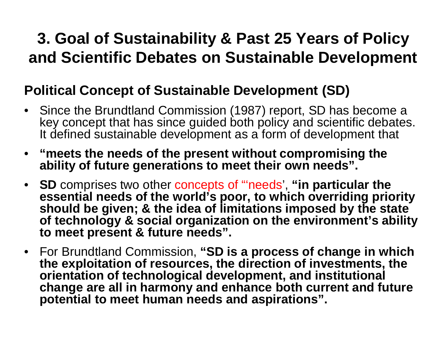#### **3. Goal of Sustainability & Past 25 Years of Policy and Scientific Debates on Sustainable Development**

#### **Political Concept of Sustainable Development (SD)**

- Since the Brundtland Commission (1987) report, SD has become a key concept that has since guided both policy and scientific debates. It defined sustainable development as a form of development that
- **"meets the needs of the present without compromising the ability of future generations to meet their own needs".**
- **SD** comprises two other concepts of "'needs', **"in particular the essential needs of the world's poor, to which overriding priority should be given; & the idea of limitations imposed by the state of technology & social organization on the environment's ability to meet present & future needs".**
- For Brundtland Commission, **"SD is a process of change in which the exploitation of resources, the direction of investments, the orientation of technological development, and institutional change are all in harmony and enhance both current and future potential to meet human needs and aspirations".**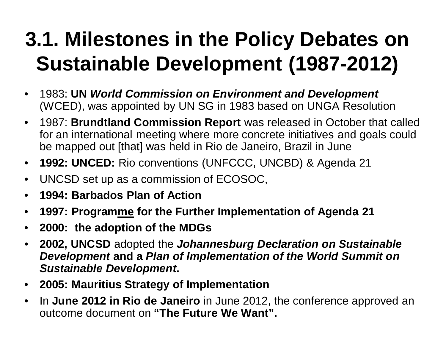#### **3.1. Milestones in the Policy Debates on Sustainable Development (1987-2012)**

- 1983: **UN** *World Commission on Environment and Development* (WCED), was appointed by UN SG in 1983 based on UNGA Resolution
- 1987: **Brundtland Commission Report** was released in October that called for an international meeting where more concrete initiatives and goals could be mapped out [that] was held in Rio de Janeiro, Brazil in June
- **1992: UNCED:** Rio conventions (UNFCCC, UNCBD) & Agenda 21
- UNCSD set up as a commission of ECOSOC,
- **1994: Barbados Plan of Action**
- **1997: Programme for the Further Implementation of Agenda 21**
- **2000: the adoption of the MDGs**
- **2002, UNCSD** adopted the *Johannesburg Declaration on Sustainable Development* **and a** *Plan of Implementation of the World Summit on Sustainable Development***.**
- **2005: Mauritius Strategy of Implementation**
- In **June 2012 in Rio de Janeiro** in June 2012, the conference approved an outcome document on **"The Future We Want".**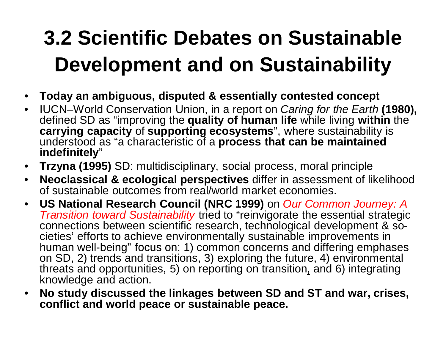### **3.2 Scientific Debates on Sustainable Development and on Sustainability**

- **Today an ambiguous, disputed & essentially contested concept**
- IUCN–World Conservation Union, in a report on *Caring for the Earth* **(1980),** defined SD as "improving the **quality of human life** while living **within** the **carrying capacity** of **supporting ecosystems**", where sustainability is understood as "a characteristic of a **process that can be maintained indefinitely**"
- **Trzyna (1995)** SD: multidisciplinary, social process, moral principle
- **Neoclassical & ecological perspectives** differ in assessment of likelihood of sustainable outcomes from real/world market economies.
- **US National Research Council (NRC 1999)** on *Our Common Journey: A Transition toward Sustainability* tried to "reinvigorate the essential strategic connections between scientific research, technological development & societies' efforts to achieve environmentally sustainable improvements in human well-being" focus on: 1) common concerns and differing emphases on SD, 2) trends and transitions, 3) exploring the future, 4) environmental threats and opportunities, 5) on reporting on transition, and 6) integrating knowledge and action.
- **No study discussed the linkages between SD and ST and war, crises, conflict and world peace or sustainable peace.**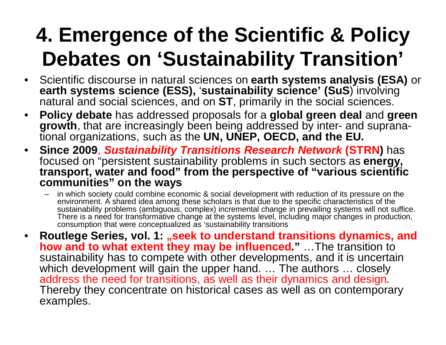#### **4. Emergence of the Scientific & Policy Debates on 'Sustainability Transition'**

- Scientific discourse in natural sciences on **earth systems analysis (ESA)** or **earth systems science (ESS),** '**sustainability science' (SuS**) involving natural and social sciences, and on **ST**, primarily in the social sciences.
- **Policy debate** has addressed proposals for a **global green deal** and **green growth**, that are increasingly been being addressed by inter- and supranational organizations, such as the **UN, UNEP, OECD, and the EU.**
- **Since 2009**, *Sustainability Transitions Research Network* **(STRN)** has focused on "persistent sustainability problems in such sectors as **energy, transport, water and food" from the perspective of "various scientific communities" on the ways**
	- in which society could combine economic & social development with reduction of its pressure on the environment. A shared idea among these scholars is that due to the specific characteristics of the sustainability problems (ambiguous, complex) incremental change in prevailing systems will not suffice. There is a need for transformative change at the systems level, including major changes in production, consumption that were conceptualized as 'sustainability transitions
- **Routlege Series, vol. 1: "seek to understand transitions dynamics, and how and to what extent they may be influenced.**" ... The transition to sustainability has to compete with other developments, and it is uncertain which development will gain the upper hand. ... The authors ... closely address the need for transitions, as well as their dynamics and design. Thereby they concentrate on historical cases as well as on contemporary examples.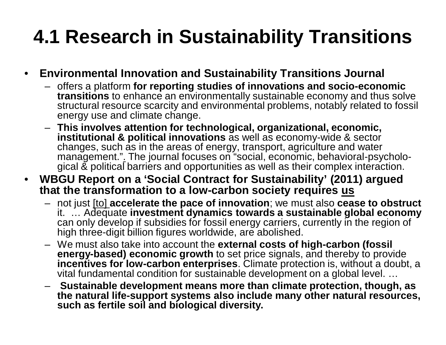#### **4.1 Research in Sustainability Transitions**

#### • **Environmental Innovation and Sustainability Transitions Journal**

- offers a platform **for reporting studies of innovations and socio-economic transitions** to enhance an environmentally sustainable economy and thus solve structural resource scarcity and environmental problems, notably related to fossil energy use and climate change.
- **This involves attention for technological, organizational, economic, institutional & political innovations** as well as economy-wide & sector changes, such as in the areas of energy, transport, agriculture and water management.". The journal focuses on "social, economic, behavioral-psychological & political barriers and opportunities as well as their complex interaction.
- **WBGU Report on a 'Social Contract for Sustainability' (2011) argued that the transformation to a low-carbon society requires us**
	- not just [to] **accelerate the pace of innovation**; we must also **cease to obstruct** it. … Adequate **investment dynamics towards a sustainable global economy** can only develop if subsidies for fossil energy carriers, currently in the region of high three-digit billion figures worldwide, are abolished.
	- We must also take into account the **external costs of high-carbon (fossil energy-based) economic growth** to set price signals, and thereby to provide **incentives for low-carbon enterprises**. Climate protection is, without a doubt, a vital fundamental condition for sustainable development on a global level. …
	- **Sustainable development means more than climate protection, though, as the natural life-support systems also include many other natural resources, such as fertile soil and biological diversity.**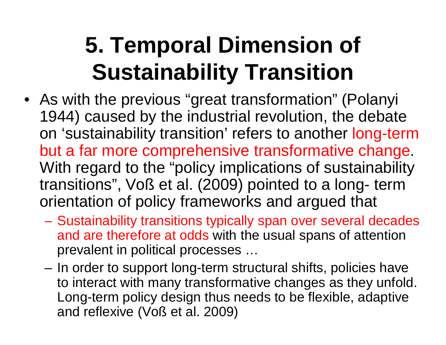## **5. Temporal Dimension of Sustainability Transition**

- As with the previous "great transformation" (Polanyi 1944) caused by the industrial revolution, the debate on 'sustainability transition' refers to another long-term but a far more comprehensive transformative change. With regard to the "policy implications of sustainability transitions", Voß et al. (2009) pointed to a long- term orientation of policy frameworks and argued that
	- Sustainability transitions typically span over several decades and are therefore at odds with the usual spans of attention prevalent in political processes …
	- In order to support long-term structural shifts, policies have to interact with many transformative changes as they unfold. Long-term policy design thus needs to be flexible, adaptive and reflexive (Voß et al. 2009)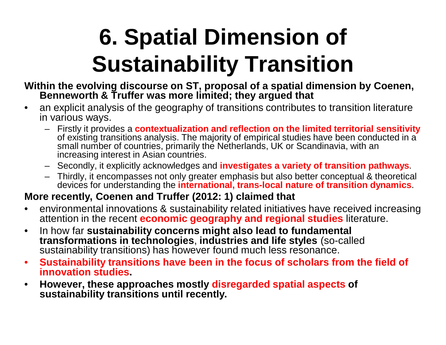# **6. Spatial Dimension of Sustainability Transition**

- **Within the evolving discourse on ST, proposal of a spatial dimension by Coenen, Benneworth & Truffer was more limited; they argued that**
- an explicit analysis of the geography of transitions contributes to transition literature in various ways.
	- Firstly it provides a **contextualization and reflection on the limited territorial sensitivity** of existing transitions analysis. The majority of empirical studies have been conducted in a small number of countries, primarily the Netherlands, UK or Scandinavia, with an increasing interest in Asian countries.
	- Secondly, it explicitly acknowledges and **investigates a variety of transition pathways**.
	- Thirdly, it encompasses not only greater emphasis but also better conceptual & theoretical devices for understanding the **international, trans-local nature of transition dynamics**.

#### **More recently, Coenen and Truffer (2012: 1) claimed that**

- environmental innovations & sustainability related initiatives have received increasing attention in the recent **economic geography and regional studies** literature.
- In how far **sustainability concerns might also lead to fundamental transformations in technologies**, **industries and life styles** (so-called sustainability transitions) has however found much less resonance.
- **Sustainability transitions have been in the focus of scholars from the field of innovation studies.**
- **However, these approaches mostly disregarded spatial aspects of sustainability transitions until recently.**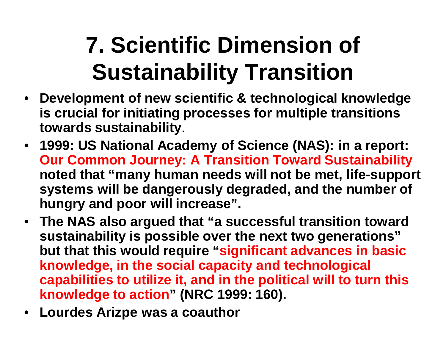# **7. Scientific Dimension of Sustainability Transition**

- **Development of new scientific & technological knowledge is crucial for initiating processes for multiple transitions towards sustainability**.
- **1999: US National Academy of Science (NAS): in a report: Our Common Journey: A Transition Toward Sustainability noted that "many human needs will not be met, life-support systems will be dangerously degraded, and the number of hungry and poor will increase".**
- **The NAS also argued that "a successful transition toward sustainability is possible over the next two generations" but that this would require "significant advances in basic knowledge, in the social capacity and technological capabilities to utilize it, and in the political will to turn this knowledge to action" (NRC 1999: 160).**
- **Lourdes Arizpe was a coauthor**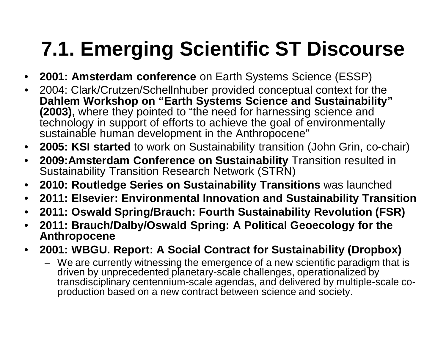#### **7.1. Emerging Scientific ST Discourse**

- **2001: Amsterdam conference** on Earth Systems Science (ESSP)
- 2004: Clark/Crutzen/Schellnhuber provided conceptual context for the **Dahlem Workshop on "Earth Systems Science and Sustainability" (2003),** where they pointed to "the need for harnessing science and technology in support of efforts to achieve the goal of environmentally sustainable human development in the Anthropocene"
- **2005: KSI started** to work on Sustainability transition (John Grin, co-chair)
- **2009:Amsterdam Conference on Sustainability** Transition resulted in Sustainability Transition Research Network (STRN)
- **2010: Routledge Series on Sustainability Transitions** was launched
- **2011: Elsevier: Environmental Innovation and Sustainability Transition**
- **2011: Oswald Spring/Brauch: Fourth Sustainability Revolution (FSR)**
- **2011: Brauch/Dalby/Oswald Spring: A Political Geoecology for the Anthropocene**
- **2001: WBGU. Report: A Social Contract for Sustainability (Dropbox)** 
	- We are currently witnessing the emergence of a new scientific paradigm that is driven by unprecedented planetary-scale challenges, operationalized by transdisciplinary centennium-scale agendas, and delivered by multiple-scale coproduction based on a new contract between science and society.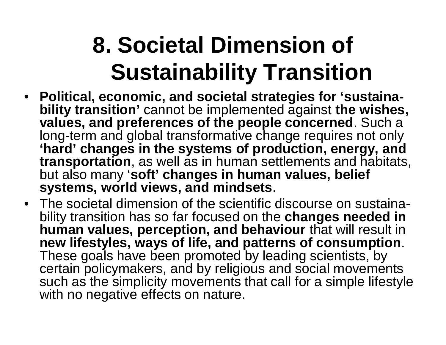## **8. Societal Dimension of Sustainability Transition**

- **Political, economic, and societal strategies for 'sustainability transition'** cannot be implemented against **the wishes, values, and preferences of the people concerned**. Such a long-term and global transformative change requires not only **'hard' changes in the systems of production, energy, and transportation**, as well as in human settlements and habitats, but also many '**soft' changes in human values, belief systems, world views, and mindsets**.
- The societal dimension of the scientific discourse on sustainability transition has so far focused on the **changes needed in human values, perception, and behaviour** that will result in **new lifestyles, ways of life, and patterns of consumption**. These goals have been promoted by leading scientists, by certain policymakers, and by religious and social movements such as the simplicity movements that call for a simple lifestyle with no negative effects on nature.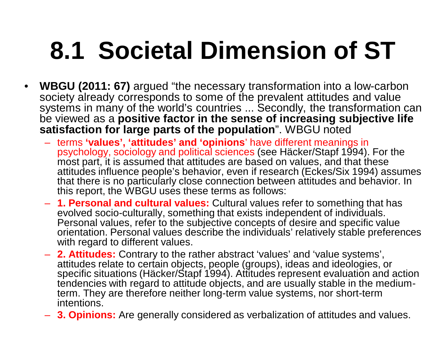# **8.1 Societal Dimension of ST**

- **WBGU (2011: 67)** argued "the necessary transformation into a low-carbon society already corresponds to some of the prevalent attitudes and value systems in many of the world's countries ... Secondly, the transformation can be viewed as a **positive factor in the sense of increasing subjective life**  satisfaction for large parts of the population". WBGU noted
	- terms **'values', 'attitudes' and 'opinions**' have different meanings in psychology, sociology and political sciences (see Häcker/Stapf 1994). For the most part, it is assumed that attitudes are based on values, and that these attitudes influence people's behavior, even if research (Eckes/Six 1994) assumes that there is no particularly close connection between attitudes and behavior. In this report, the WBGU uses these terms as follows:
	- **1. Personal and cultural values:** Cultural values refer to something that has evolved socio-culturally, something that exists independent of individuals. Personal values, refer to the subjective concepts of desire and specific value orientation. Personal values describe the individuals' relatively stable preferences with regard to different values.
	- **2. Attitudes:** Contrary to the rather abstract 'values' and 'value systems', attitudes relate to certain objects, people (groups), ideas and ideologies, or specific situations (Häcker/Stapf 1994). Attitudes represent evaluation and action tendencies with regard to attitude objects, and are usually stable in the mediumterm. They are therefore neither long-term value systems, nor short-term intentions.
	- **3. Opinions:** Are generally considered as verbalization of attitudes and values.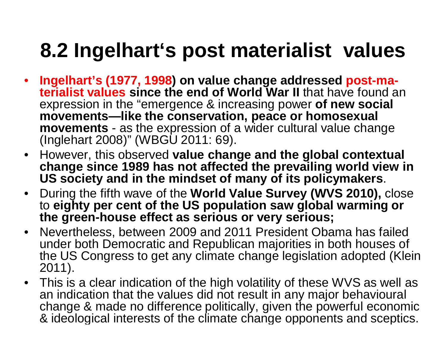#### **8.2 Ingelhart's post materialist values**

- **Ingelhart's (1977, 1998) on value change addressed post-materialist values since the end of World War II** that have found an expression in the "emergence & increasing power **of new social movements—like the conservation, peace or homosexual movements** - as the expression of a wider cultural value change (Inglehart 2008)" (WBGU 2011: 69).
- However, this observed **value change and the global contextual change since 1989 has not affected the prevailing world view in US society and in the mindset of many of its policymakers**.
- During the fifth wave of the **World Value Survey (WVS 2010),** close to **eighty per cent of the US population saw global warming or the green-house effect as serious or very serious;**
- Nevertheless, between 2009 and 2011 President Obama has failed under both Democratic and Republican majorities in both houses of the US Congress to get any climate change legislation adopted (Klein 2011).
- This is a clear indication of the high volatility of these WVS as well as an indication that the values did not result in any major behavioural change & made no difference politically, given the powerful economic & ideological interests of the climate change opponents and sceptics.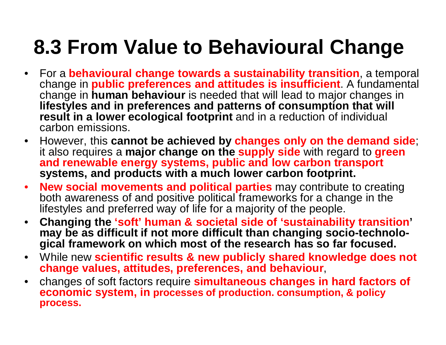#### **8.3 From Value to Behavioural Change**

- For a **behavioural change towards a sustainability transition**, a temporal change in **public preferences and attitudes is insufficient**. A fundamental change in **human behaviour** is needed that will lead to major changes in **lifestyles and in preferences and patterns of consumption that will result in a lower ecological footprint** and in a reduction of individual carbon emissions.
- However, this **cannot be achieved by changes only on the demand side**; it also requires a **major change on the supply side** with regard to **green and renewable energy systems, public and low carbon transport systems, and products with a much lower carbon footprint.**
- **New social movements and political parties** may contribute to creating both awareness of and positive political frameworks for a change in the lifestyles and preferred way of life for a majority of the people.
- **Changing the 'soft' human & societal side of 'sustainability transition' may be as difficult if not more difficult than changing socio-technological framework on which most of the research has so far focused.**
- While new **scientific results & new publicly shared knowledge does not change values, attitudes, preferences, and behaviour**,
- changes of soft factors require **simultaneous changes in hard factors of economic system, in processes of production. consumption, & policy process.**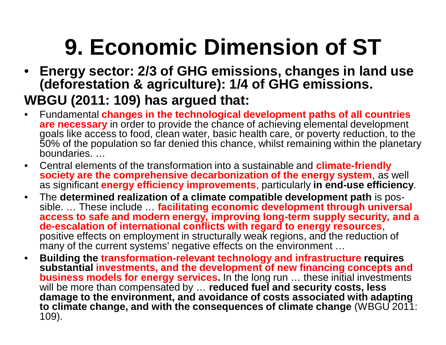# **9. Economic Dimension of ST**

- **Energy sector: 2/3 of GHG emissions, changes in land use (deforestation & agriculture): 1/4 of GHG emissions. WBGU (2011: 109) has argued that:**
- Fundamental **changes in the technological development paths of all countries are necessary** in order to provide the chance of achieving elemental development goals like access to food, clean water, basic health care, or poverty reduction, to the 50% of the population so far denied this chance, whilst remaining within the planetary boundaries. …
- Central elements of the transformation into a sustainable and **climate-friendly society are the comprehensive decarbonization of the energy system**, as well as significant **energy efficiency improvements**, particularly **in end-use efficiency**.
- The **determined realization of a climate compatible development path** is possible. … These include … **facilitating economic development through universal access to safe and modern energy, improving long-term supply security, and a de-escalation of international conflicts with regard to energy resources**, positive effects on employment in structurally weak regions, and the reduction of many of the current systems' negative effects on the environment …
- **Building the transformation-relevant technology and infrastructure requires substantial investments, and the development of new financing concepts and business models for energy services.** In the long run ... these initial investments will be more than compensated by … **reduced fuel and security costs, less damage to the environment, and avoidance of costs associated with adapting to climate change, and with the consequences of climate change** (WBGU 2011: 109).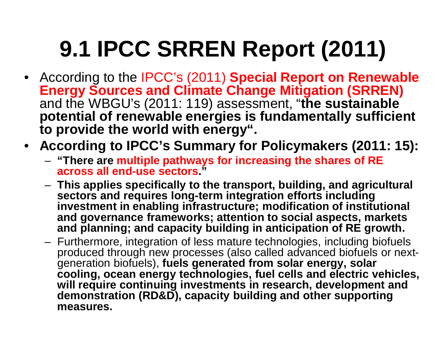# **9.1 IPCC SRREN Report (2011)**

- According to the IPCC's (2011) **Special Report on Renewable Energy Sources and Climate Change Mitigation (SRREN)** and the WBGU's (2011: 119) assessment, "**the sustainable potential of renewable energies is fundamentally sufficient to provide the world with energy".**
- **According to IPCC's Summary for Policymakers (2011: 15):** 
	- **"There are multiple pathways for increasing the shares of RE across all end-use sectors."**
	- **This applies specifically to the transport, building, and agricultural sectors and requires long-term integration efforts including investment in enabling infrastructure; modification of institutional and governance frameworks; attention to social aspects, markets and planning; and capacity building in anticipation of RE growth.**
	- Furthermore, integration of less mature technologies, including biofuels produced through new processes (also called advanced biofuels or nextgeneration biofuels), **fuels generated from solar energy, solar cooling, ocean energy technologies, fuel cells and electric vehicles,**  will require continuing investments in research, development and **demonstration (RD&D), capacity building and other supporting measures.**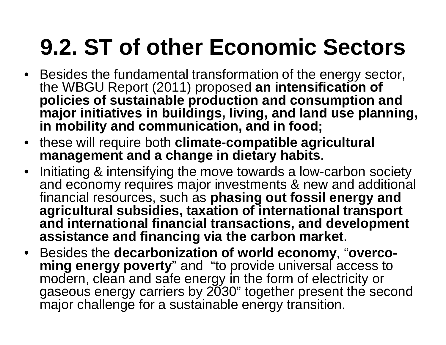# **9.2. ST of other Economic Sectors**

- Besides the fundamental transformation of the energy sector, the WBGU Report (2011) proposed **an intensification of policies of sustainable production and consumption and major initiatives in buildings, living, and land use planning, in mobility and communication, and in food;**
- these will require both **climate-compatible agricultural management and a change in dietary habits**.
- Initiating & intensifying the move towards a low-carbon society and economy requires major investments & new and additional financial resources, such as **phasing out fossil energy and agricultural subsidies, taxation of international transport and international financial transactions, and development assistance and financing via the carbon market**.
- Besides the **decarbonization of world economy**, "**overcoming energy poverty**" and "to provide universal access to modern, clean and safe energy in the form of electricity or gaseous energy carriers by 2030" together present the second major challenge for a sustainable energy transition.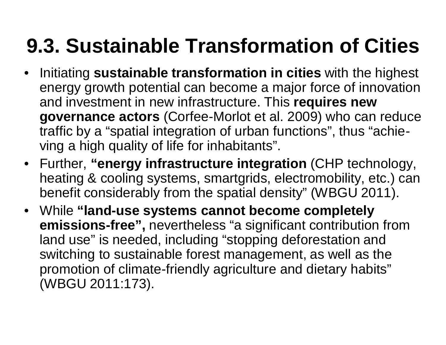#### **9.3. Sustainable Transformation of Cities**

- Initiating **sustainable transformation in cities** with the highest energy growth potential can become a major force of innovation and investment in new infrastructure. This **requires new governance actors** (Corfee-Morlot et al. 2009) who can reduce traffic by a "spatial integration of urban functions", thus "achieving a high quality of life for inhabitants".
- Further, **"energy infrastructure integration** (CHP technology, heating & cooling systems, smartgrids, electromobility, etc.) can benefit considerably from the spatial density" (WBGU 2011).
- While **"land-use systems cannot become completely emissions-free",** nevertheless "a significant contribution from land use" is needed, including "stopping deforestation and switching to sustainable forest management, as well as the promotion of climate-friendly agriculture and dietary habits" (WBGU 2011:173).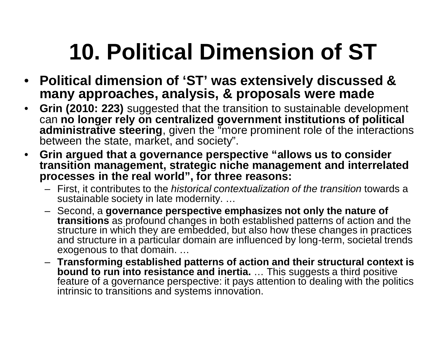# **10. Political Dimension of ST**

- **Political dimension of 'ST' was extensively discussed & many approaches, analysis, & proposals were made**
- **Grin (2010: 223)** suggested that the transition to sustainable development can **no longer rely on centralized government institutions of political administrative steering**, given the "more prominent role of the interactions between the state, market, and society".
- **Grin argued that a governance perspective "allows us to consider transition management, strategic niche management and interrelated processes in the real world", for three reasons:**
	- First, it contributes to the *historical contextualization of the transition* towards a sustainable society in late modernity. …
	- Second, a **governance perspective emphasizes not only the nature of transitions** as profound changes in both established patterns of action and the structure in which they are embedded, but also how these changes in practices and structure in a particular domain are influenced by long-term, societal trends exogenous to that domain. …
	- **Transforming established patterns of action and their structural context is bound to run into resistance and inertia.** … This suggests a third positive feature of a governance perspective: it pays attention to dealing with the politics intrinsic to transitions and systems innovation.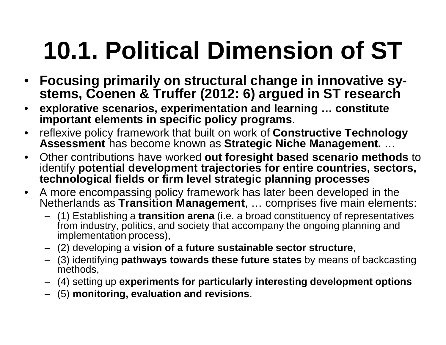# **10.1. Political Dimension of ST**

- **Focusing primarily on structural change in innovative systems, Coenen & Truffer (2012: 6) argued in ST research**
- **explorative scenarios, experimentation and learning … constitute important elements in specific policy programs**.
- reflexive policy framework that built on work of **Constructive Technology Assessment** has become known as **Strategic Niche Management.** …
- Other contributions have worked **out foresight based scenario methods** to identify **potential development trajectories for entire countries, sectors, technological fields or firm level strategic planning processes**
- A more encompassing policy framework has later been developed in the Netherlands as **Transition Management**, … comprises five main elements:
	- (1) Establishing a **transition arena** (i.e. a broad constituency of representatives from industry, politics, and society that accompany the ongoing planning and implementation process),
	- (2) developing a **vision of a future sustainable sector structure**,
	- (3) identifying **pathways towards these future states** by means of backcasting methods,
	- (4) setting up **experiments for particularly interesting development options**
	- (5) **monitoring, evaluation and revisions**.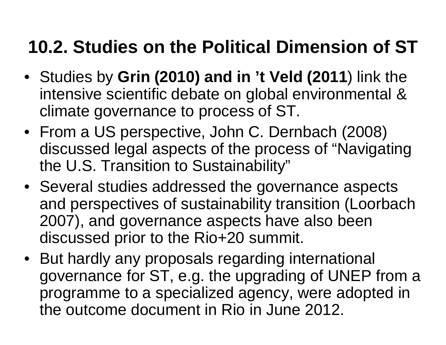#### **10.2. Studies on the Political Dimension of ST**

- Studies by **Grin (2010) and in 't Veld (2011**) link the intensive scientific debate on global environmental & climate governance to process of ST.
- From a US perspective, John C. Dernbach (2008) discussed legal aspects of the process of "Navigating the U.S. Transition to Sustainability"
- Several studies addressed the governance aspects and perspectives of sustainability transition (Loorbach 2007), and governance aspects have also been discussed prior to the Rio+20 summit.
- But hardly any proposals regarding international governance for ST, e.g. the upgrading of UNEP from a programme to a specialized agency, were adopted in the outcome document in Rio in June 2012.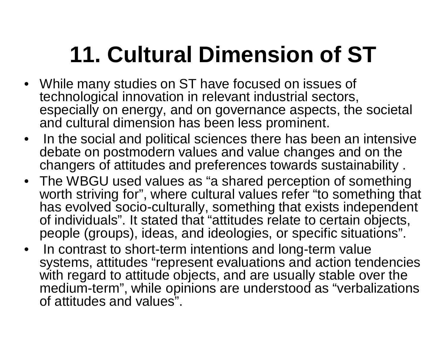# **11. Cultural Dimension of ST**

- While many studies on ST have focused on issues of technological innovation in relevant industrial sectors, especially on energy, and on governance aspects, the societal and cultural dimension has been less prominent.
- In the social and political sciences there has been an intensive debate on postmodern values and value changes and on the changers of attitudes and preferences towards sustainability .
- The WBGU used values as "a shared perception of something worth striving for", where cultural values refer "to something that has evolved socio-culturally, something that exists independent of individuals". It stated that "attitudes relate to certain objects, people (groups), ideas, and ideologies, or specific situations".
- In contrast to short-term intentions and long-term value systems, attitudes "represent evaluations and action tendencies with regard to attitude objects, and are usually stable over the medium-term", while opinions are understood as "verbalizations of attitudes and values".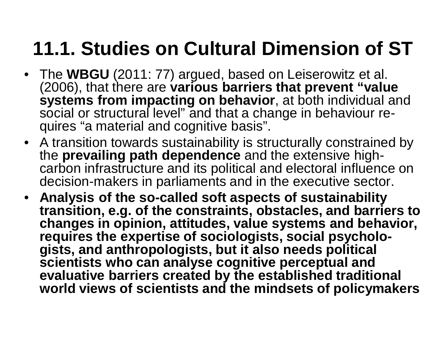#### **11.1. Studies on Cultural Dimension of ST**

- The **WBGU** (2011: 77) argued, based on Leiserowitz et al. (2006), that there are **various barriers that prevent "value systems from impacting on behavior**, at both individual and social or structural level" and that a change in behaviour requires "a material and cognitive basis".
- A transition towards sustainability is structurally constrained by the **prevailing path dependence** and the extensive highcarbon infrastructure and its political and electoral influence on decision-makers in parliaments and in the executive sector.
- **Analysis of the so-called soft aspects of sustainability transition, e.g. of the constraints, obstacles, and barriers to changes in opinion, attitudes, value systems and behavior, requires the expertise of sociologists, social psychologists, and anthropologists, but it also needs political scientists who can analyse cognitive perceptual and evaluative barriers created by the established traditional world views of scientists and the mindsets of policymakers**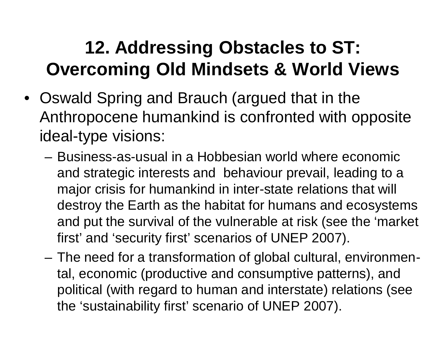#### **12. Addressing Obstacles to ST: Overcoming Old Mindsets & World Views**

- Oswald Spring and Brauch (argued that in the Anthropocene humankind is confronted with opposite ideal-type visions:
	- Business-as-usual in a Hobbesian world where economic and strategic interests and behaviour prevail, leading to a major crisis for humankind in inter-state relations that will destroy the Earth as the habitat for humans and ecosystems and put the survival of the vulnerable at risk (see the 'market first' and 'security first' scenarios of UNEP 2007).
	- The need for a transformation of global cultural, environmental, economic (productive and consumptive patterns), and political (with regard to human and interstate) relations (see the 'sustainability first' scenario of UNEP 2007).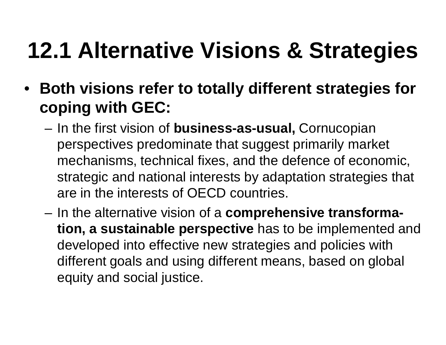## **12.1 Alternative Visions & Strategies**

- **Both visions refer to totally different strategies for coping with GEC:**
	- In the first vision of **business-as-usual,** Cornucopian perspectives predominate that suggest primarily market mechanisms, technical fixes, and the defence of economic, strategic and national interests by adaptation strategies that are in the interests of OECD countries.
	- In the alternative vision of a **comprehensive transformation, a sustainable perspective** has to be implemented and developed into effective new strategies and policies with different goals and using different means, based on global equity and social justice.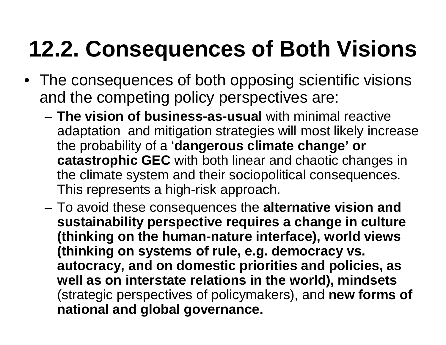# **12.2. Consequences of Both Visions**

- The consequences of both opposing scientific visions and the competing policy perspectives are:
	- **The vision of business-as-usual** with minimal reactive adaptation and mitigation strategies will most likely increase the probability of a '**dangerous climate change' or catastrophic GEC** with both linear and chaotic changes in the climate system and their sociopolitical consequences. This represents a high-risk approach.
	- To avoid these consequences the **alternative vision and sustainability perspective requires a change in culture (thinking on the human-nature interface), world views (thinking on systems of rule, e.g. democracy vs. autocracy, and on domestic priorities and policies, as well as on interstate relations in the world), mindsets** (strategic perspectives of policymakers), and **new forms of national and global governance.**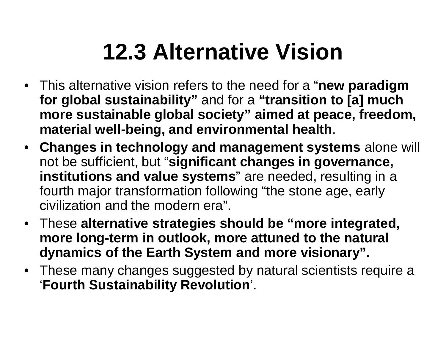### **12.3 Alternative Vision**

- This alternative vision refers to the need for a "**new paradigm for global sustainability"** and for a **"transition to [a] much more sustainable global society" aimed at peace, freedom, material well-being, and environmental health**.
- **Changes in technology and management systems** alone will not be sufficient, but "**significant changes in governance, institutions and value systems**" are needed, resulting in a fourth major transformation following "the stone age, early civilization and the modern era".
- These **alternative strategies should be "more integrated, more long-term in outlook, more attuned to the natural dynamics of the Earth System and more visionary".**
- These many changes suggested by natural scientists require a '**Fourth Sustainability Revolution**'.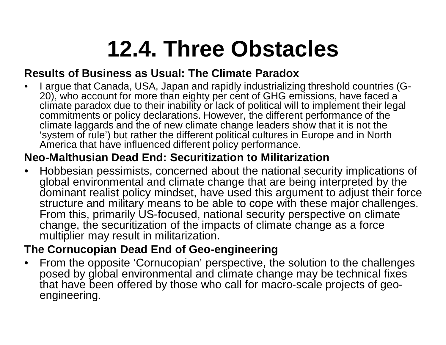### **12.4. Three Obstacles**

#### **Results of Business as Usual: The Climate Paradox**

• I argue that Canada, USA, Japan and rapidly industrializing threshold countries (G-20), who account for more than eighty per cent of GHG emissions, have faced a climate paradox due to their inability or lack of political will to implement their legal commitments or policy declarations. However, the different performance of the climate laggards and the of new climate change leaders show that it is not the 'system of rule') but rather the different political cultures in Europe and in North America that have influenced different policy performance.

#### **Neo-Malthusian Dead End: Securitization to Militarization**

• Hobbesian pessimists, concerned about the national security implications of global environmental and climate change that are being interpreted by the dominant realist policy mindset, have used this argument to adjust their force structure and military means to be able to cope with these major challenges. From this, primarily US-focused, national security perspective on climate change, the securitization of the impacts of climate change as a force multiplier may result in militarization.

#### **The Cornucopian Dead End of Geo-engineering**

• From the opposite 'Cornucopian' perspective, the solution to the challenges posed by global environmental and climate change may be technical fixes that have been offered by those who call for macro-scale projects of geoengineering.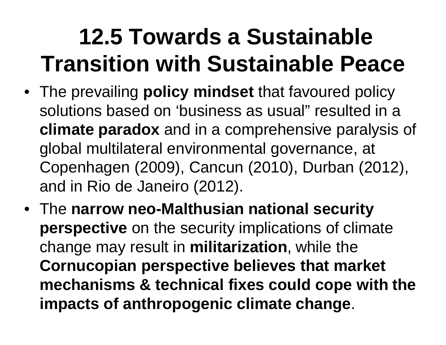## **12.5 Towards a Sustainable Transition with Sustainable Peace**

- The prevailing **policy mindset** that favoured policy solutions based on 'business as usual" resulted in a **climate paradox** and in a comprehensive paralysis of global multilateral environmental governance, at Copenhagen (2009), Cancun (2010), Durban (2012), and in Rio de Janeiro (2012).
- The **narrow neo-Malthusian national security perspective** on the security implications of climate change may result in **militarization**, while the **Cornucopian perspective believes that market mechanisms & technical fixes could cope with the impacts of anthropogenic climate change**.